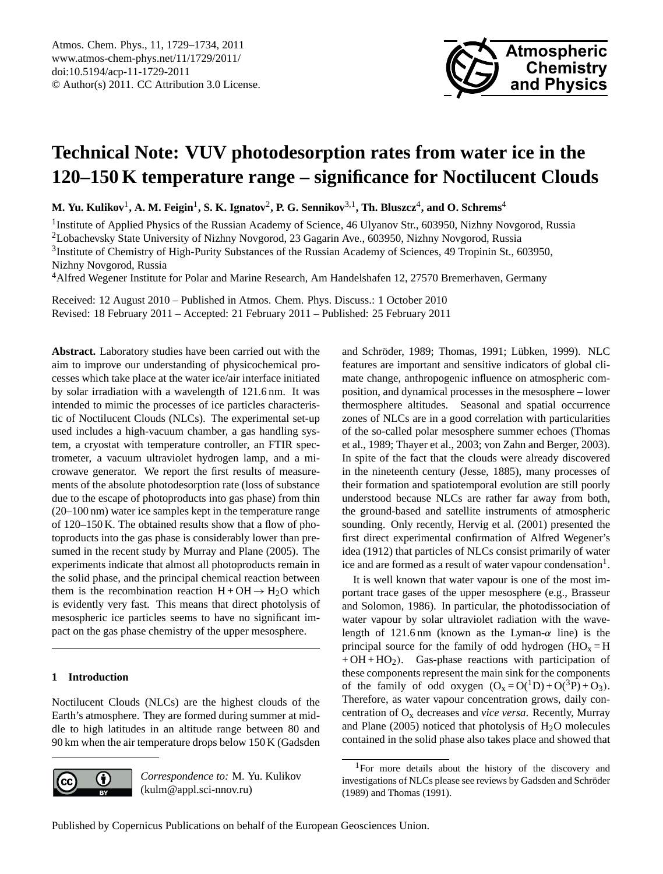

# <span id="page-0-1"></span>**Technical Note: VUV photodesorption rates from water ice in the 120–150 K temperature range – significance for Noctilucent Clouds**

 $\mathbf{M.~Yu.~Kulikov}^1, \mathbf{A.~M.~Feigin}^1, \mathbf{S.~K.~Ignatov}^2, \mathbf{P.~G.~Sennikov}^{3,1}, \mathbf{Th.~Bluszcz}^4, \mathbf{and~O.~Schrems}^4$ 

<sup>1</sup>Institute of Applied Physics of the Russian Academy of Science, 46 Ulyanov Str., 603950, Nizhny Novgorod, Russia

<sup>2</sup>Lobachevsky State University of Nizhny Novgorod, 23 Gagarin Ave., 603950, Nizhny Novgorod, Russia

<sup>3</sup>Institute of Chemistry of High-Purity Substances of the Russian Academy of Sciences, 49 Tropinin St., 603950, Nizhny Novgorod, Russia

<sup>4</sup>Alfred Wegener Institute for Polar and Marine Research, Am Handelshafen 12, 27570 Bremerhaven, Germany

Received: 12 August 2010 – Published in Atmos. Chem. Phys. Discuss.: 1 October 2010 Revised: 18 February 2011 – Accepted: 21 February 2011 – Published: 25 February 2011

**Abstract.** Laboratory studies have been carried out with the aim to improve our understanding of physicochemical processes which take place at the water ice/air interface initiated by solar irradiation with a wavelength of 121.6 nm. It was intended to mimic the processes of ice particles characteristic of Noctilucent Clouds (NLCs). The experimental set-up used includes a high-vacuum chamber, a gas handling system, a cryostat with temperature controller, an FTIR spectrometer, a vacuum ultraviolet hydrogen lamp, and a microwave generator. We report the first results of measurements of the absolute photodesorption rate (loss of substance due to the escape of photoproducts into gas phase) from thin (20–100 nm) water ice samples kept in the temperature range of 120–150 K. The obtained results show that a flow of photoproducts into the gas phase is considerably lower than presumed in the recent study by Murray and Plane (2005). The experiments indicate that almost all photoproducts remain in the solid phase, and the principal chemical reaction between them is the recombination reaction  $H + OH \rightarrow H_2O$  which is evidently very fast. This means that direct photolysis of mesospheric ice particles seems to have no significant impact on the gas phase chemistry of the upper mesosphere.

# **1 Introduction**

Noctilucent Clouds (NLCs) are the highest clouds of the Earth's atmosphere. They are formed during summer at middle to high latitudes in an altitude range between 80 and 90 km when the air temperature drops below 150 K (Gadsden



*Correspondence to:* M. Yu. Kulikov (kulm@appl.sci-nnov.ru)

and Schröder, 1989; Thomas, 1991; Lübken, 1999). NLC features are important and sensitive indicators of global climate change, anthropogenic influence on atmospheric composition, and dynamical processes in the mesosphere – lower thermosphere altitudes. Seasonal and spatial occurrence zones of NLCs are in a good correlation with particularities of the so-called polar mesosphere summer echoes (Thomas et al., 1989; Thayer et al., 2003; von Zahn and Berger, 2003). In spite of the fact that the clouds were already discovered in the nineteenth century (Jesse, 1885), many processes of their formation and spatiotemporal evolution are still poorly understood because NLCs are rather far away from both, the ground-based and satellite instruments of atmospheric sounding. Only recently, Hervig et al. (2001) presented the first direct experimental confirmation of Alfred Wegener's idea (1912) that particles of NLCs consist primarily of water ice and are formed as a result of water vapour condensation<sup>[1](#page-0-0)</sup>.

It is well known that water vapour is one of the most important trace gases of the upper mesosphere (e.g., Brasseur and Solomon, 1986). In particular, the photodissociation of water vapour by solar ultraviolet radiation with the wavelength of 121.6 nm (known as the Lyman- $\alpha$  line) is the principal source for the family of odd hydrogen  $(HO_x = H)$  $+ OH + HO<sub>2</sub>$ ). Gas-phase reactions with participation of these components represent the main sink for the components of the family of odd oxygen  $(O_x = O(^1D) + O(^3P) + O_3)$ . Therefore, as water vapour concentration grows, daily concentration of O<sup>x</sup> decreases and *vice versa*. Recently, Murray and Plane (2005) noticed that photolysis of  $H<sub>2</sub>O$  molecules contained in the solid phase also takes place and showed that

<span id="page-0-0"></span><sup>1</sup>For more details about the history of the discovery and investigations of NLCs please see reviews by Gadsden and Schröder (1989) and Thomas (1991).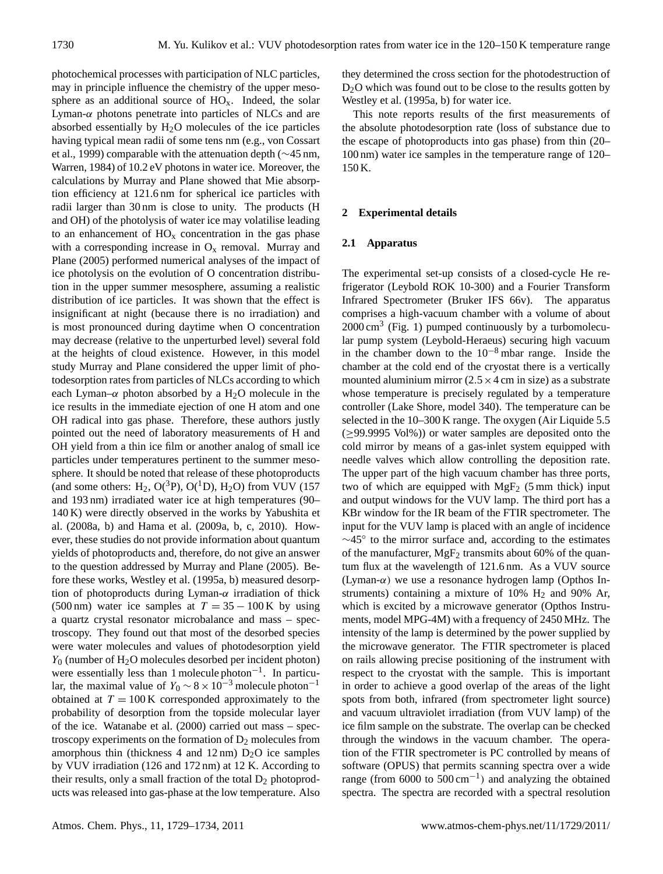photochemical processes with participation of NLC particles, may in principle influence the chemistry of the upper mesosphere as an additional source of  $HO<sub>x</sub>$ . Indeed, the solar Lyman- $\alpha$  photons penetrate into particles of NLCs and are absorbed essentially by  $H_2O$  molecules of the ice particles having typical mean radii of some tens nm (e.g., von Cossart et al., 1999) comparable with the attenuation depth (∼45 nm, Warren, 1984) of 10.2 eV photons in water ice. Moreover, the calculations by Murray and Plane showed that Mie absorption efficiency at 121.6 nm for spherical ice particles with radii larger than 30 nm is close to unity. The products (H and OH) of the photolysis of water ice may volatilise leading to an enhancement of  $HO_x$  concentration in the gas phase with a corresponding increase in  $O_x$  removal. Murray and Plane (2005) performed numerical analyses of the impact of ice photolysis on the evolution of O concentration distribution in the upper summer mesosphere, assuming a realistic distribution of ice particles. It was shown that the effect is insignificant at night (because there is no irradiation) and is most pronounced during daytime when O concentration may decrease (relative to the unperturbed level) several fold at the heights of cloud existence. However, in this model study Murray and Plane considered the upper limit of photodesorption rates from particles of NLCs according to which each Lyman– $\alpha$  photon absorbed by a H<sub>2</sub>O molecule in the ice results in the immediate ejection of one H atom and one OH radical into gas phase. Therefore, these authors justly pointed out the need of laboratory measurements of H and OH yield from a thin ice film or another analog of small ice particles under temperatures pertinent to the summer mesosphere. It should be noted that release of these photoproducts (and some others: H<sub>2</sub>, O(<sup>3</sup>P), O(<sup>1</sup>D), H<sub>2</sub>O) from VUV (157 and 193 nm) irradiated water ice at high temperatures (90– 140 K) were directly observed in the works by Yabushita et al. (2008a, b) and Hama et al. (2009a, b, c, 2010). However, these studies do not provide information about quantum yields of photoproducts and, therefore, do not give an answer to the question addressed by Murray and Plane (2005). Before these works, Westley et al. (1995a, b) measured desorption of photoproducts during Lyman- $\alpha$  irradiation of thick (500 nm) water ice samples at  $T = 35 - 100$  K by using a quartz crystal resonator microbalance and mass – spectroscopy. They found out that most of the desorbed species were water molecules and values of photodesorption yield  $Y_0$  (number of  $H_2O$  molecules desorbed per incident photon) were essentially less than 1 molecule photon<sup>-1</sup>. In particular, the maximal value of  $Y_0 \sim 8 \times 10^{-3}$  molecule photon<sup>-1</sup> obtained at  $T = 100$  K corresponded approximately to the probability of desorption from the topside molecular layer of the ice. Watanabe et al. (2000) carried out mass – spectroscopy experiments on the formation of  $D_2$  molecules from amorphous thin (thickness 4 and  $12 \text{ nm}$ )  $D_2O$  ice samples by VUV irradiation (126 and 172 nm) at 12 K. According to their results, only a small fraction of the total  $D_2$  photoproducts was released into gas-phase at the low temperature. Also they determined the cross section for the photodestruction of D<sub>2</sub>O which was found out to be close to the results gotten by Westley et al. (1995a, b) for water ice.

This note reports results of the first measurements of the absolute photodesorption rate (loss of substance due to the escape of photoproducts into gas phase) from thin (20– 100 nm) water ice samples in the temperature range of 120– 150 K.

### **2 Experimental details**

#### **2.1 Apparatus**

The experimental set-up consists of a closed-cycle He refrigerator (Leybold ROK 10-300) and a Fourier Transform Infrared Spectrometer (Bruker IFS 66v). The apparatus comprises a high-vacuum chamber with a volume of about  $2000 \text{ cm}^3$  (Fig. 1) pumped continuously by a turbomolecular pump system (Leybold-Heraeus) securing high vacuum in the chamber down to the  $10^{-8}$  mbar range. Inside the chamber at the cold end of the cryostat there is a vertically mounted aluminium mirror  $(2.5 \times 4 \text{ cm})$  in size) as a substrate whose temperature is precisely regulated by a temperature controller (Lake Shore, model 340). The temperature can be selected in the 10–300 K range. The oxygen (Air Liquide 5.5)  $(\geq 99.9995 \text{ Vol}\%)$  or water samples are deposited onto the cold mirror by means of a gas-inlet system equipped with needle valves which allow controlling the deposition rate. The upper part of the high vacuum chamber has three ports, two of which are equipped with  $MgF_2$  (5 mm thick) input and output windows for the VUV lamp. The third port has a KBr window for the IR beam of the FTIR spectrometer. The input for the VUV lamp is placed with an angle of incidence ∼45◦ to the mirror surface and, according to the estimates of the manufacturer,  $MgF_2$  transmits about 60% of the quantum flux at the wavelength of 121.6 nm. As a VUV source (Lyman- $\alpha$ ) we use a resonance hydrogen lamp (Opthos Instruments) containing a mixture of  $10\%$  H<sub>2</sub> and  $90\%$  Ar, which is excited by a microwave generator (Opthos Instruments, model MPG-4M) with a frequency of 2450 MHz. The intensity of the lamp is determined by the power supplied by the microwave generator. The FTIR spectrometer is placed on rails allowing precise positioning of the instrument with respect to the cryostat with the sample. This is important in order to achieve a good overlap of the areas of the light spots from both, infrared (from spectrometer light source) and vacuum ultraviolet irradiation (from VUV lamp) of the ice film sample on the substrate. The overlap can be checked through the windows in the vacuum chamber. The operation of the FTIR spectrometer is PC controlled by means of software (OPUS) that permits scanning spectra over a wide range (from  $6000$  to  $500 \text{ cm}^{-1}$ ) and analyzing the obtained spectra. The spectra are recorded with a spectral resolution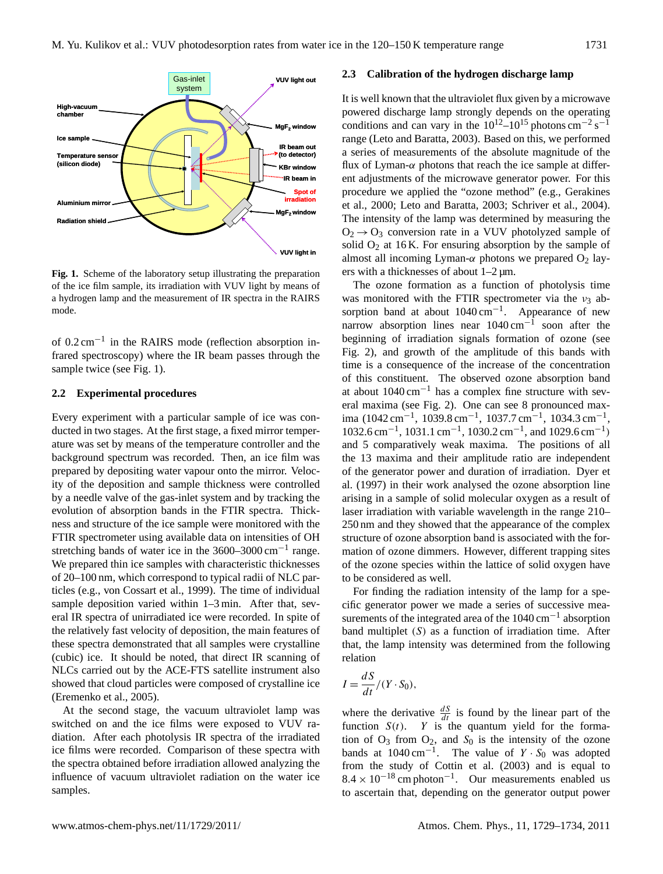

**Fig. 1.** Scheme of the laboratory setup illustrating the preparation of the ice film sample, its irradiation with VUV light by means of a hydrogen lamp and the measurement of IR spectra in the RAIRS mode.

of 0.2 cm−<sup>1</sup> in the RAIRS mode (reflection absorption infrared spectroscopy) where the IR beam passes through the sample twice (see Fig. 1).

#### **2.2 Experimental procedures**

Every experiment with a particular sample of ice was conducted in two stages. At the first stage, a fixed mirror temperature was set by means of the temperature controller and the background spectrum was recorded. Then, an ice film was prepared by depositing water vapour onto the mirror. Velocity of the deposition and sample thickness were controlled by a needle valve of the gas-inlet system and by tracking the evolution of absorption bands in the FTIR spectra. Thickness and structure of the ice sample were monitored with the FTIR spectrometer using available data on intensities of OH stretching bands of water ice in the 3600–3000 cm<sup>-1</sup> range. We prepared thin ice samples with characteristic thicknesses of 20–100 nm, which correspond to typical radii of NLC particles (e.g., von Cossart et al., 1999). The time of individual sample deposition varied within 1–3 min. After that, several IR spectra of unirradiated ice were recorded. In spite of the relatively fast velocity of deposition, the main features of these spectra demonstrated that all samples were crystalline (cubic) ice. It should be noted, that direct IR scanning of NLCs carried out by the ACE-FTS satellite instrument also showed that cloud particles were composed of crystalline ice (Eremenko et al., 2005).

At the second stage, the vacuum ultraviolet lamp was switched on and the ice films were exposed to VUV radiation. After each photolysis IR spectra of the irradiated ice films were recorded. Comparison of these spectra with the spectra obtained before irradiation allowed analyzing the influence of vacuum ultraviolet radiation on the water ice samples.

#### **2.3 Calibration of the hydrogen discharge lamp**

It is well known that the ultraviolet flux given by a microwave powered discharge lamp strongly depends on the operating conditions and can vary in the  $10^{12}$ – $10^{15}$  photons cm<sup>-2</sup> s<sup>-1</sup> range (Leto and Baratta, 2003). Based on this, we performed a series of measurements of the absolute magnitude of the flux of Lyman- $\alpha$  photons that reach the ice sample at different adjustments of the microwave generator power. For this procedure we applied the "ozone method" (e.g., Gerakines et al., 2000; Leto and Baratta, 2003; Schriver et al., 2004). The intensity of the lamp was determined by measuring the  $O_2 \rightarrow O_3$  conversion rate in a VUV photolyzed sample of solid  $O_2$  at 16 K. For ensuring absorption by the sample of almost all incoming Lyman- $\alpha$  photons we prepared  $O_2$  layers with a thicknesses of about 1–2 µm.

The ozone formation as a function of photolysis time was monitored with the FTIR spectrometer via the  $v_3$  absorption band at about 1040 cm<sup>-1</sup>. Appearance of new narrow absorption lines near  $1040 \text{ cm}^{-1}$  soon after the beginning of irradiation signals formation of ozone (see Fig. 2), and growth of the amplitude of this bands with time is a consequence of the increase of the concentration of this constituent. The observed ozone absorption band at about 1040 cm−<sup>1</sup> has a complex fine structure with several maxima (see Fig. 2). One can see 8 pronounced maxima (1042 cm<sup>-1</sup>, 1039.8 cm<sup>-1</sup>, 1037.7 cm<sup>-1</sup>, 1034.3 cm<sup>-1</sup>, 1032.6 cm<sup>-1</sup>, 1031.1 cm<sup>-1</sup>, 1030.2 cm<sup>-1</sup>, and 1029.6 cm<sup>-1</sup>) and 5 comparatively weak maxima. The positions of all the 13 maxima and their amplitude ratio are independent of the generator power and duration of irradiation. Dyer et al. (1997) in their work analysed the ozone absorption line arising in a sample of solid molecular oxygen as a result of laser irradiation with variable wavelength in the range 210– 250 nm and they showed that the appearance of the complex structure of ozone absorption band is associated with the formation of ozone dimmers. However, different trapping sites of the ozone species within the lattice of solid oxygen have to be considered as well.

For finding the radiation intensity of the lamp for a specific generator power we made a series of successive measurements of the integrated area of the 1040 cm−<sup>1</sup> absorption band multiplet  $(S)$  as a function of irradiation time. After that, the lamp intensity was determined from the following relation

$$
I = \frac{dS}{dt}/(Y \cdot S_0),
$$

 $\ddot{\phantom{0}}$ 

where the derivative  $\frac{dS}{dt}$  is found by the linear part of the function  $S(t)$ . Y is the quantum yield for the formation of  $O_3$  from  $O_2$ , and  $S_0$  is the intensity of the ozone bands at  $1040 \text{ cm}^{-1}$ . The value of  $Y \cdot S_0$  was adopted from the study of Cottin et al. (2003) and is equal to  $8.4 \times 10^{-18}$  cm photon<sup>-1</sup>. Our measurements enabled us to ascertain that, depending on the generator output power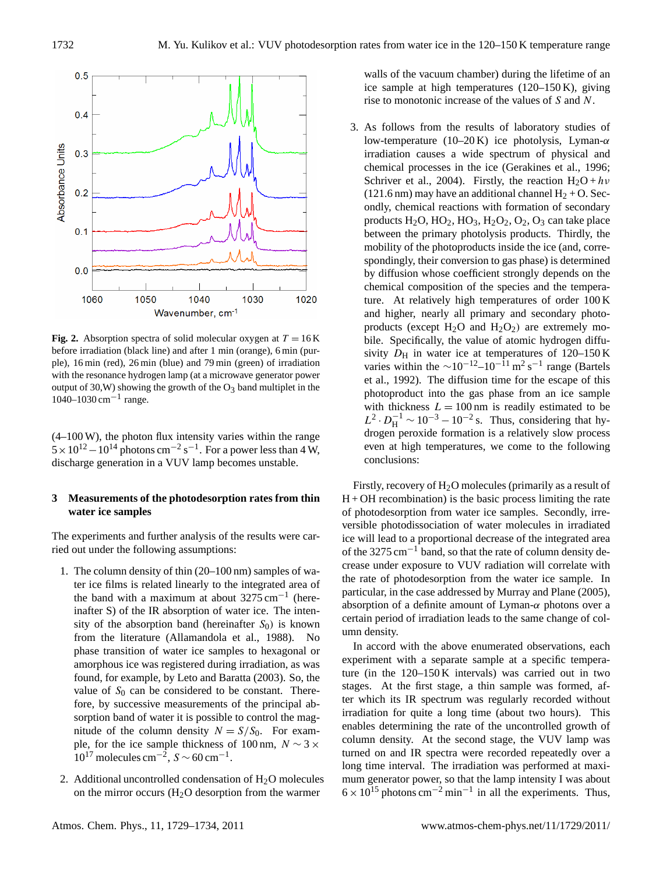

**Fig. 2.** Absorption spectra of solid molecular oxygen at  $T = 16$  K before irradiation (black line) and after 1 min (orange), 6 min (purple), 16 min (red), 26 min (blue) and 79 min (green) of irradiation with the resonance hydrogen lamp (at a microwave generator power output of 30, W) showing the growth of the  $O_3$  band multiplet in the 1040–1030 cm<sup>-1</sup> range.

(4–100 W), the photon flux intensity varies within the range  $5 \times 10^{12} - 10^{14}$  photons cm<sup>-2</sup> s<sup>-1</sup>. For a power less than 4 W, discharge generation in a VUV lamp becomes unstable.

## **3 Measurements of the photodesorption rates from thin water ice samples**

The experiments and further analysis of the results were carried out under the following assumptions:

- 1. The column density of thin (20–100 nm) samples of water ice films is related linearly to the integrated area of the band with a maximum at about  $3275 \text{ cm}^{-1}$  (hereinafter S) of the IR absorption of water ice. The intensity of the absorption band (hereinafter  $S_0$ ) is known from the literature (Allamandola et al., 1988). No phase transition of water ice samples to hexagonal or amorphous ice was registered during irradiation, as was found, for example, by Leto and Baratta (2003). So, the value of  $S_0$  can be considered to be constant. Therefore, by successive measurements of the principal absorption band of water it is possible to control the magnitude of the column density  $N = S/S_0$ . For example, for the ice sample thickness of 100 nm,  $N \sim 3 \times$ 10<sup>17</sup> molecules cm<sup>-2</sup>,  $S \sim 60$  cm<sup>-1</sup>.
- 2. Additional uncontrolled condensation of  $H<sub>2</sub>O$  molecules on the mirror occurs  $(H<sub>2</sub>O$  desorption from the warmer

walls of the vacuum chamber) during the lifetime of an ice sample at high temperatures (120–150 K), giving rise to monotonic increase of the values of S and N.

3. As follows from the results of laboratory studies of low-temperature (10–20 K) ice photolysis, Lyman- $\alpha$ irradiation causes a wide spectrum of physical and chemical processes in the ice (Gerakines et al., 1996; Schriver et al., 2004). Firstly, the reaction  $H_2O + hv$ (121.6 nm) may have an additional channel  $H_2 + O$ . Secondly, chemical reactions with formation of secondary products  $H_2O$ ,  $HO_2$ ,  $HO_3$ ,  $H_2O_2$ ,  $O_2$ ,  $O_3$  can take place between the primary photolysis products. Thirdly, the mobility of the photoproducts inside the ice (and, correspondingly, their conversion to gas phase) is determined by diffusion whose coefficient strongly depends on the chemical composition of the species and the temperature. At relatively high temperatures of order 100 K and higher, nearly all primary and secondary photoproducts (except  $H_2O$  and  $H_2O_2$ ) are extremely mobile. Specifically, the value of atomic hydrogen diffusivity  $D_H$  in water ice at temperatures of 120–150 K varies within the  $\sim 10^{-12} - 10^{-11}$  m<sup>2</sup> s<sup>-1</sup> range (Bartels et al., 1992). The diffusion time for the escape of this photoproduct into the gas phase from an ice sample with thickness  $L = 100$  nm is readily estimated to be  $L^2 \cdot D_H^{-1} \sim 10^{-3} - 10^{-2}$  s. Thus, considering that hydrogen peroxide formation is a relatively slow process even at high temperatures, we come to the following conclusions:

Firstly, recovery of  $H_2O$  molecules (primarily as a result of  $H + OH$  recombination) is the basic process limiting the rate of photodesorption from water ice samples. Secondly, irreversible photodissociation of water molecules in irradiated ice will lead to a proportional decrease of the integrated area of the 3275 cm<sup>-1</sup> band, so that the rate of column density decrease under exposure to VUV radiation will correlate with the rate of photodesorption from the water ice sample. In particular, in the case addressed by Murray and Plane (2005), absorption of a definite amount of Lyman- $\alpha$  photons over a certain period of irradiation leads to the same change of column density.

In accord with the above enumerated observations, each experiment with a separate sample at a specific temperature (in the 120–150 K intervals) was carried out in two stages. At the first stage, a thin sample was formed, after which its IR spectrum was regularly recorded without irradiation for quite a long time (about two hours). This enables determining the rate of the uncontrolled growth of column density. At the second stage, the VUV lamp was turned on and IR spectra were recorded repeatedly over a long time interval. The irradiation was performed at maximum generator power, so that the lamp intensity I was about  $6 \times 10^{15}$  photons cm<sup>-2</sup> min<sup>-1</sup> in all the experiments. Thus,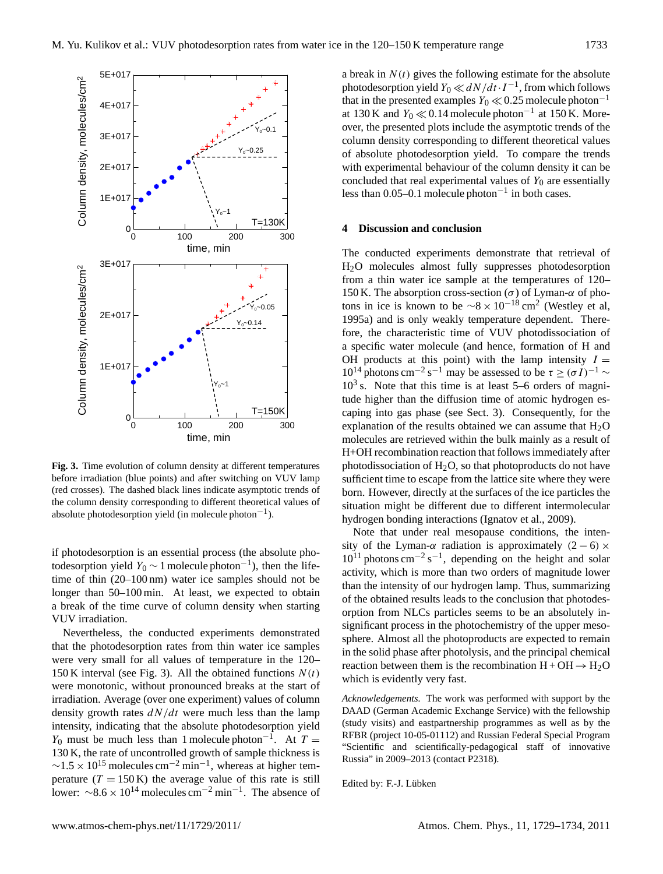

**Fig. 3.** Time evolution of column density at different temperatures before irradiation (blue points) and after switching on VUV lamp (red crosses). The dashed black lines indicate asymptotic trends of the column density corresponding to different theoretical values of absolute photodesorption yield (in molecule photon<sup>-1</sup>).

if photodesorption is an essential process (the absolute photodesorption yield  $Y_0 \sim 1$  molecule photon<sup>-1</sup>), then the lifetime of thin (20–100 nm) water ice samples should not be longer than 50–100 min. At least, we expected to obtain a break of the time curve of column density when starting VUV irradiation.

Nevertheless, the conducted experiments demonstrated that the photodesorption rates from thin water ice samples were very small for all values of temperature in the 120– 150 K interval (see Fig. 3). All the obtained functions  $N(t)$ were monotonic, without pronounced breaks at the start of irradiation. Average (over one experiment) values of column density growth rates  $dN/dt$  were much less than the lamp intensity, indicating that the absolute photodesorption yield  $Y_0$  must be much less than 1 molecule photon<sup>-1</sup>. At  $T =$ 130 K, the rate of uncontrolled growth of sample thickness is  $\sim$ 1.5 × 10<sup>15</sup> molecules cm<sup>-2</sup> min<sup>-1</sup>, whereas at higher temperature  $(T = 150 \text{ K})$  the average value of this rate is still lower:  $\sim 8.6 \times 10^{14}$  molecules cm<sup>-2</sup> min<sup>-1</sup>. The absence of

a break in  $N(t)$  gives the following estimate for the absolute photodesorption yield  $Y_0 \ll dN/dt \cdot I^{-1}$ , from which follows that in the presented examples  $Y_0 \ll 0.25$  molecule photon<sup>-1</sup> at 130 K and  $Y_0 \ll 0.14$  molecule photon<sup>-1</sup> at 150 K. Moreover, the presented plots include the asymptotic trends of the column density corresponding to different theoretical values of absolute photodesorption yield. To compare the trends with experimental behaviour of the column density it can be concluded that real experimental values of  $Y_0$  are essentially less than 0.05–0.1 molecule photon<sup>-1</sup> in both cases.

#### **4 Discussion and conclusion**

The conducted experiments demonstrate that retrieval of H2O molecules almost fully suppresses photodesorption from a thin water ice sample at the temperatures of 120– 150 K. The absorption cross-section ( $\sigma$ ) of Lyman- $\alpha$  of photons in ice is known to be  $\sim 8 \times 10^{-18}$  cm<sup>2</sup> (Westley et al, 1995a) and is only weakly temperature dependent. Therefore, the characteristic time of VUV photodissociation of a specific water molecule (and hence, formation of H and OH products at this point) with the lamp intensity  $I =$  $10^{14}$  photons cm<sup>-2</sup> s<sup>-1</sup> may be assessed to be  $\tau \geq (\sigma I)^{-1}$  ~  $10<sup>3</sup>$  s. Note that this time is at least 5–6 orders of magnitude higher than the diffusion time of atomic hydrogen escaping into gas phase (see Sect. 3). Consequently, for the explanation of the results obtained we can assume that  $H_2O$ molecules are retrieved within the bulk mainly as a result of H+OH recombination reaction that follows immediately after photodissociation of  $H_2O$ , so that photoproducts do not have sufficient time to escape from the lattice site where they were born. However, directly at the surfaces of the ice particles the situation might be different due to different intermolecular hydrogen bonding interactions (Ignatov et al., 2009).

Note that under real mesopause conditions, the intensity of the Lyman- $\alpha$  radiation is approximately (2 – 6) ×  $10^{11}$  photons cm<sup>-2</sup> s<sup>-1</sup>, depending on the height and solar activity, which is more than two orders of magnitude lower than the intensity of our hydrogen lamp. Thus, summarizing of the obtained results leads to the conclusion that photodesorption from NLCs particles seems to be an absolutely insignificant process in the photochemistry of the upper mesosphere. Almost all the photoproducts are expected to remain in the solid phase after photolysis, and the principal chemical reaction between them is the recombination  $H + OH \rightarrow H_2O$ which is evidently very fast.

*Acknowledgements.* The work was performed with support by the DAAD (German Academic Exchange Service) with the fellowship (study visits) and eastpartnership programmes as well as by the RFBR (project 10-05-01112) and Russian Federal Special Program "Scientific and scientifically-pedagogical staff of innovative Russia" in 2009–2013 (contact P2318).

Edited by: F.-J. Lübken